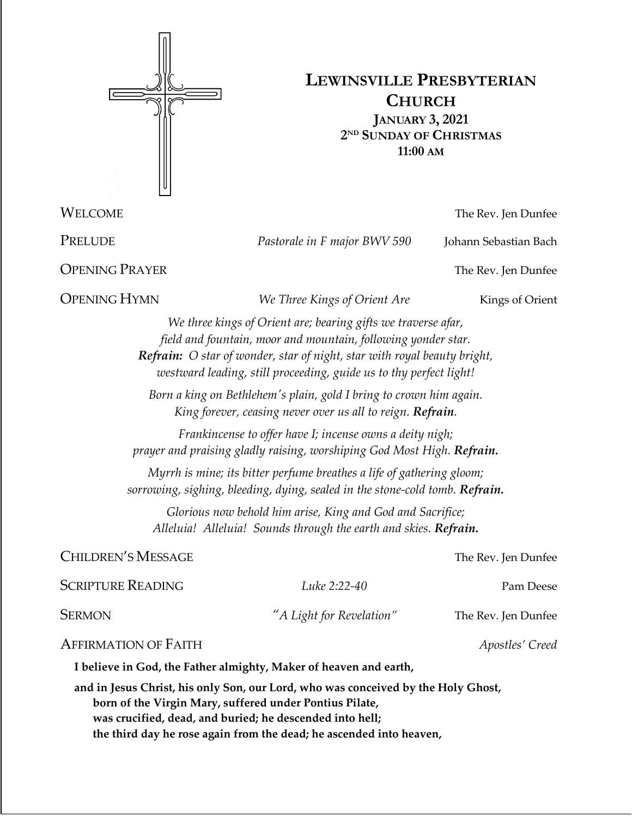

# **LEWINSVILLE PRESBYTERIAN CHURCH JANUARY 3, 2021 2ND SUNDAY OF CHRISTMAS 11:00 AM**

**OPENING PRAYER** The Rev. Jen Dunfee

**OPENING HYMN** *We Three Kings of Orient Are* Kings of Orient

WELCOME The Rev. Jen Dunfee

PRELUDE *Pastorale in F major BWV 590* Johann Sebastian Bach

*We three kings of Orient are; bearing gifts we traverse afar, field and fountain, moor and mountain, following yonder star. Refrain: O star of wonder, star of night, star with royal beauty bright, westward leading, still proceeding, guide us to thy perfect light!*

*Born a king on Bethlehem's plain, gold I bring to crown him again. King forever, ceasing never over us all to reign. Refrain.*

*Frankincense to offer have I; incense owns a deity nigh; prayer and praising gladly raising, worshiping God Most High. Refrain.*

*Myrrh is mine; its bitter perfume breathes a life of gathering gloom; sorrowing, sighing, bleeding, dying, sealed in the stone-cold tomb. Refrain.*

*Glorious now behold him arise, King and God and Sacrifice; Alleluia! Alleluia! Sounds through the earth and skies. Refrain.*

# CHILDREN'S MESSAGE The Rev. Jen Dunfee

| Scripture Reading | Luke 2:22-40             | Pam Deese           |
|-------------------|--------------------------|---------------------|
| Sermon            | "A Light for Revelation" | The Rev. Jen Dunfee |
|                   |                          |                     |

# AFFIRMATION OF FAITH *Apostles' Creed*

**I believe in God, the Father almighty, Maker of heaven and earth,**

**and in Jesus Christ, his only Son, our Lord, who was conceived by the Holy Ghost, born of the Virgin Mary, suffered under Pontius Pilate, was crucified, dead, and buried; he descended into hell; the third day he rose again from the dead; he ascended into heaven,**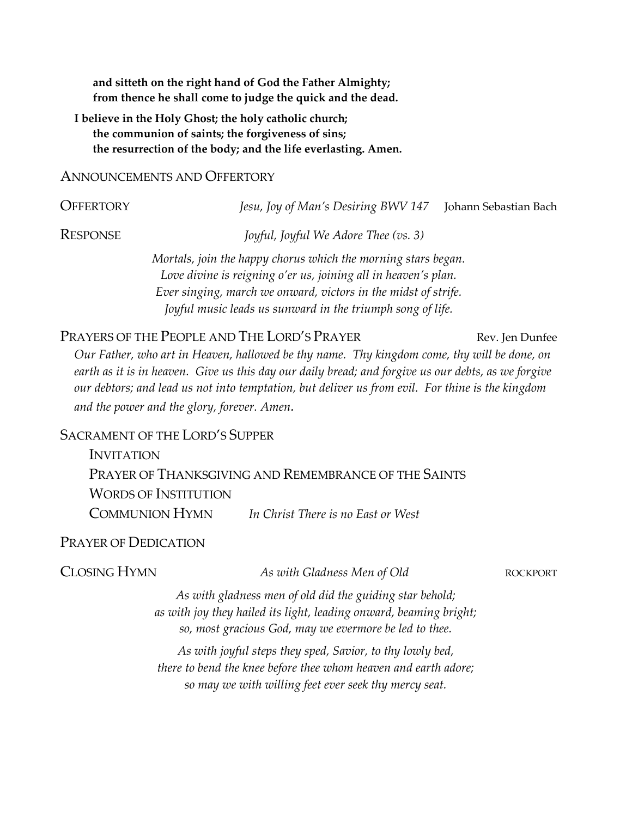**and sitteth on the right hand of God the Father Almighty; from thence he shall come to judge the quick and the dead.**

**I believe in the Holy Ghost; the holy catholic church; the communion of saints; the forgiveness of sins; the resurrection of the body; and the life everlasting. Amen.**

### ANNOUNCEMENTS AND OFFERTORY

OFFERTORY *Jesu, Joy of Man's Desiring BWV 147* Johann Sebastian Bach

RESPONSE *Joyful, Joyful We Adore Thee (vs. 3)*

*Mortals, join the happy chorus which the morning stars began. Love divine is reigning o'er us, joining all in heaven's plan. Ever singing, march we onward, victors in the midst of strife. Joyful music leads us sunward in the triumph song of life.*

# PRAYERS OF THE PEOPLE AND THE LORD'S PRAYER Rev. Jen Dunfee

*Our Father, who art in Heaven, hallowed be thy name. Thy kingdom come, thy will be done, on earth as it is in heaven. Give us this day our daily bread; and forgive us our debts, as we forgive our debtors; and lead us not into temptation, but deliver us from evil. For thine is the kingdom and the power and the glory, forever. Amen.* 

### SACRAMENT OF THE LORD'S SUPPER

| <b>INVITATION</b>           |                                                      |
|-----------------------------|------------------------------------------------------|
|                             | PRAYER OF THANKSGIVING AND REMEMBRANCE OF THE SAINTS |
| <b>WORDS OF INSTITUTION</b> |                                                      |
| <b>COMMUNION HYMN</b>       | In Christ There is no East or West                   |

### PRAYER OF DEDICATION

CLOSING HYMN *As with Gladness Men of Old* ROCKPORT

*As with gladness men of old did the guiding star behold; as with joy they hailed its light, leading onward, beaming bright; so, most gracious God, may we evermore be led to thee.*

*As with joyful steps they sped, Savior, to thy lowly bed, there to bend the knee before thee whom heaven and earth adore; so may we with willing feet ever seek thy mercy seat.*